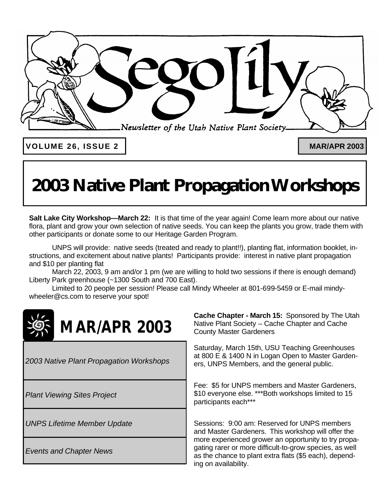

**VOLUME 26, ISSUE 2 MAR/APR 2003**

# **2003 Native Plant Propagation Workshops**

**Salt Lake City Workshop—March 22:** It is that time of the year again! Come learn more about our native flora, plant and grow your own selection of native seeds. You can keep the plants you grow, trade them with other participants or donate some to our Heritage Garden Program.

UNPS will provide: native seeds (treated and ready to plant!!), planting flat, information booklet, instructions, and excitement about native plants! Participants provide: interest in native plant propagation and \$10 per planting flat

March 22, 2003, 9 am and/or 1 pm (we are willing to hold two sessions if there is enough demand) Liberty Park greenhouse (~1300 South and 700 East).

Limited to 20 people per session! Please call Mindy Wheeler at 801-699-5459 or E-mail mindywheeler@cs.com to reserve your spot!



*2003 Native Plant Propagation Workshops*

*Plant Viewing Sites Project*

*UNPS Lifetime Member Update*

*Events and Chapter News*

**Cache Chapter - March 15:** Sponsored by The Utah Native Plant Society – Cache Chapter and Cache County Master Gardeners

Saturday, March 15th, USU Teaching Greenhouses at 800 E & 1400 N in Logan Open to Master Gardeners, UNPS Members, and the general public.

Fee: \$5 for UNPS members and Master Gardeners, \$10 everyone else. \*\*\*Both workshops limited to 15 participants each\*\*\*

Sessions: 9:00 am: Reserved for UNPS members and Master Gardeners. This workshop will offer the more experienced grower an opportunity to try propagating rarer or more difficult-to-grow species, as well as the chance to plant extra flats (\$5 each), depending on availability.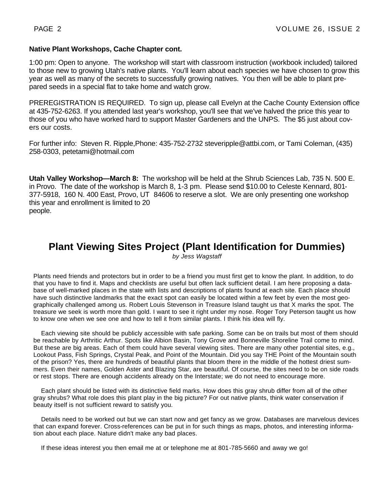### **Native Plant Workshops, Cache Chapter cont.**

1:00 pm: Open to anyone. The workshop will start with classroom instruction (workbook included) tailored to those new to growing Utah's native plants. You'll learn about each species we have chosen to grow this year as well as many of the secrets to successfully growing natives. You then will be able to plant prepared seeds in a special flat to take home and watch grow.

PREREGISTRATION IS REQUIRED. To sign up, please call Evelyn at the Cache County Extension office at 435-752-6263. If you attended last year's workshop, you'll see that we've halved the price this year to those of you who have worked hard to support Master Gardeners and the UNPS. The \$5 just about covers our costs.

For further info: Steven R. Ripple,Phone: 435-752-2732 steveripple@attbi.com, or Tami Coleman, (435) 258-0303, petetami@hotmail.com

**Utah Valley Workshop—March 8:** The workshop will be held at the Shrub Sciences Lab, 735 N. 500 E. in Provo. The date of the workshop is March 8, 1-3 pm. Please send \$10.00 to Celeste Kennard, 801- 377-5918, 160 N. 400 East, Provo, UT 84606 to reserve a slot. We are only presenting one workshop this year and enrollment is limited to 20 people.

## **Plant Viewing Sites Project (Plant Identification for Dummies)**

*by Jess Wagstaff*

Plants need friends and protectors but in order to be a friend you must first get to know the plant. In addition, to do that you have to find it. Maps and checklists are useful but often lack sufficient detail. I am here proposing a database of well-marked places in the state with lists and descriptions of plants found at each site. Each place should have such distinctive landmarks that the exact spot can easily be located within a few feet by even the most geographically challenged among us. Robert Louis Stevenson in Treasure Island taught us that X marks the spot. The treasure we seek is worth more than gold. I want to see it right under my nose. Roger Tory Peterson taught us how to know one when we see one and how to tell it from similar plants. I think his idea will fly.

 Each viewing site should be publicly accessible with safe parking. Some can be on trails but most of them should be reachable by Arthritic Arthur. Spots like Albion Basin, Tony Grove and Bonneville Shoreline Trail come to mind. But these are big areas. Each of them could have several viewing sites. There are many other potential sites, e.g., Lookout Pass, Fish Springs, Crystal Peak, and Point of the Mountain. Did you say THE Point of the Mountain south of the prison? Yes, there are hundreds of beautiful plants that bloom there in the middle of the hottest driest summers. Even their names, Golden Aster and Blazing Star, are beautiful. Of course, the sites need to be on side roads or rest stops. There are enough accidents already on the Interstate; we do not need to encourage more.

 Each plant should be listed with its distinctive field marks. How does this gray shrub differ from all of the other gray shrubs? What role does this plant play in the big picture? For out native plants, think water conservation if beauty itself is not sufficient reward to satisfy you.

 Details need to be worked out but we can start now and get fancy as we grow. Databases are marvelous devices that can expand forever. Cross-references can be put in for such things as maps, photos, and interesting information about each place. Nature didn't make any bad places.

If these ideas interest you then email me at or telephone me at 801-785-5660 and away we go!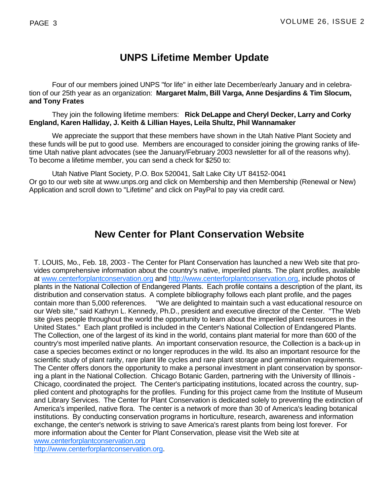## **UNPS Lifetime Member Update**

Four of our members joined UNPS "for life" in either late December/early January and in celebration of our 25th year as an organization: **Margaret Malm, Bill Varga, Anne Desjardins & Tim Slocum, and Tony Frates**

They join the following lifetime members: **Rick DeLappe and Cheryl Decker, Larry and Corky England, Karen Halliday, J. Keith & Lillian Hayes, Leila Shultz, Phil Wannamaker**

We appreciate the support that these members have shown in the Utah Native Plant Society and these funds will be put to good use. Members are encouraged to consider joining the growing ranks of lifetime Utah native plant advocates (see the January/February 2003 newsletter for all of the reasons why). To become a lifetime member, you can send a check for \$250 to:

Utah Native Plant Society, P.O. Box 520041, Salt Lake City UT 84152-0041 Or go to our web site at www.unps.org and click on Membership and then Membership (Renewal or New) Application and scroll down to "Lifetime" and click on PayPal to pay via credit card.

## **New Center for Plant Conservation Website**

T. LOUIS, Mo., Feb. 18, 2003 - The Center for Plant Conservation has launched a new Web site that provides comprehensive information about the country's native, imperiled plants. The plant profiles, available at www.centerforplantconservation.org and http://www.centerforplantconservation.org, include photos of plants in the National Collection of Endangered Plants. Each profile contains a description of the plant, its distribution and conservation status. A complete bibliography follows each plant profile, and the pages contain more than 5,000 references. "We are delighted to maintain such a vast educational resource on our Web site," said Kathryn L. Kennedy, Ph.D., president and executive director of the Center. "The Web site gives people throughout the world the opportunity to learn about the imperiled plant resources in the United States." Each plant profiled is included in the Center's National Collection of Endangered Plants. The Collection, one of the largest of its kind in the world, contains plant material for more than 600 of the country's most imperiled native plants. An important conservation resource, the Collection is a back-up in case a species becomes extinct or no longer reproduces in the wild. Its also an important resource for the scientific study of plant rarity, rare plant life cycles and rare plant storage and germination requirements. The Center offers donors the opportunity to make a personal investment in plant conservation by sponsoring a plant in the National Collection. Chicago Botanic Garden, partnering with the University of Illinois - Chicago, coordinated the project. The Center's participating institutions, located across the country, supplied content and photographs for the profiles. Funding for this project came from the Institute of Museum and Library Services. The Center for Plant Conservation is dedicated solely to preventing the extinction of America's imperiled, native flora. The center is a network of more than 30 of America's leading botanical institutions. By conducting conservation programs in horticulture, research, awareness and information exchange, the center's network is striving to save America's rarest plants from being lost forever. For more information about the Center for Plant Conservation, please visit the Web site at

www.centerforplantconservation.org

http://www.centerforplantconservation.org.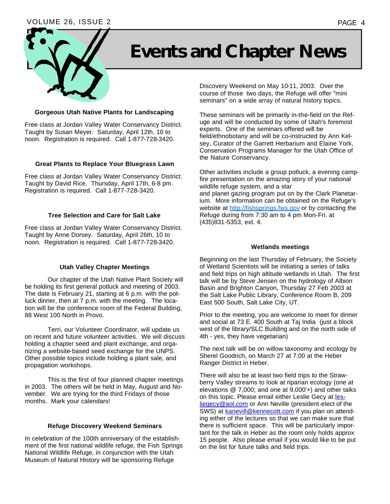### VOLUME 26, ISSUE 2 PAGE 4



# **Events and Chapter News**

#### **Gorgeous Utah Native Plants for Landscaping**

Free class at Jordan Valley Water Conservancy District. Taught by Susan Meyer. Saturday, April 12th, 10 to noon. Registration is required. Call 1-877-728-3420.

#### **Great Plants to Replace Your Bluegrass Lawn**

Free class at Jordan Valley Water Conservancy District. Taught by David Rice. Thursday, April 17th, 6-8 pm. Registration is required. Call 1-877-728-3420.

#### **Tree Selection and Care for Salt Lake**

Free class at Jordan Valley Water Conservancy District. Taught by Anne Dorsey. Saturday, April 26th, 10 to noon. Registration is required. Call 1-877-728-3420.

#### **Utah Valley Chapter Meetings**

Our chapter of the Utah Native Plant Society will be holding its first general potluck and meeting of 2003. The date is February 21, starting at 6 p.m. with the potluck dinner, then at 7 p.m. with the meeting. The location will be the conference room of the Federal Building, 88 West 100 North in Provo.

Terri, our Volunteer Coordinator, will update us on recent and future volunteer activities. We will discuss holding a chapter seed and plant exchange, and organizing a website-based seed exchange for the UNPS. Other possible topics include holding a plant sale, and propagation workshops.

This is the first of four planned chapter meetings in 2003. The others will be held in May, August and November. We are trying for the third Fridays of those months. Mark your calendars!

#### **Refuge Discovery Weekend Seminars**

In celebration of the 100th anniversary of the establishment of the first national wildlife refuge, the Fish Springs National Wildlife Refuge, in conjunction with the Utah Museum of Natural History will be sponsoring Refuge

Discovery Weekend on May 10-11, 2003. Over the course of those two days, the Refuge will offer "mini seminars" on a wide array of natural history topics.

These seminars will be primarily in-the-field on the Refuge and will be conducted by some of Utah's foremost experts. One of the seminars offered will be field/ethnobotany and will be co-instructed by Ann Kelsey, Curator of the Garrett Herbarium and Elaine York, Conservation Programs Manager for the Utah Office of the Nature Conservancy.

Other activities include a group potluck, a evening campfire presentation on the amazing story of your national wildlife refuge system, and a star and planet gazing program put on by the Clark Planetarium. More information can be obtained on the Refuge's website at http://fishsprings.fws.gov or by contacting the Refuge during from 7:30 am to 4 pm Mon-Fri. at (435)831-5353, ext. 4.

#### **Wetlands meetings**

Beginning on the last Thursday of February, the Society of Wetland Scientists will be initiating a series of talks and field trips on high altitude wetlands in Utah. The first talk will be by Steve Jensen on the hydrology of Albion Basin and Brighton Canyon, Thursday 27 Feb 2003 at the Salt Lake Public Library, Conference Room B, 209 East 500 South, Salt Lake City, UT.

Prior to the meeting, you are welcome to meet for dinner and social at 73 E. 400 South at Taj India (just a block west of the library/SLC Building and on the north side of 4th - yes, they have vegetarian)

The next talk will be on willow taxonomy and ecology by Sherel Goodrich, on March 27 at 7:00 at the Heber Ranger District in Heber.

There will also be at least two field trips to the Strawberry Valley streams to look at riparian ecology (one at elevations @ 7,000; and one at 9,000'+) and other talks on this topic. Please email either Leslie Gecy at lesliegecy@aol.com or Ann Neville (president-elect of the SWS) at kanevill@kennecott.com if you plan on attending either of the lectures so that we can make sure that there is sufficient space. This will be particularly important for the talk in Heber as the room only holds approx 15 people. Also please email if you would like to be put on the list for future talks and field trips.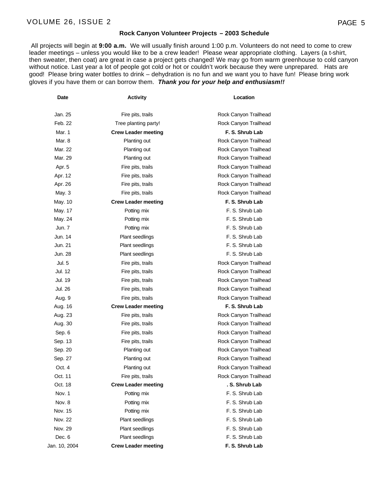#### **Rock Canyon Volunteer Projects – 2003 Schedule**

 All projects will begin at **9:00 a.m.** We will usually finish around 1:00 p.m. Volunteers do not need to come to crew leader meetings – unless you would like to be a crew leader! Please wear appropriate clothing. Layers (a t-shirt, then sweater, then coat) are great in case a project gets changed! We may go from warm greenhouse to cold canyon without notice. Last year a lot of people got cold or hot or couldn't work because they were unprepared. Hats are good!Please bring water bottles to drink – dehydration is no fun and we want you to have fun!Please bring work gloves if you have them or can borrow them. *Thank you for your help and enthusiasm!!*

| Jan. 25       | Fire pits, trails          | Rock Canyon Trailhead |
|---------------|----------------------------|-----------------------|
| Feb. 22       | Tree planting party!       | Rock Canyon Trailhead |
| Mar. 1        | <b>Crew Leader meeting</b> | F. S. Shrub Lab       |
| Mar. 8        | Planting out               | Rock Canyon Trailhead |
| Mar. 22       | Planting out               | Rock Canyon Trailhead |
| Mar. 29       | Planting out               | Rock Canyon Trailhead |
| Apr. 5        | Fire pits, trails          | Rock Canyon Trailhead |
| Apr. 12       | Fire pits, trails          | Rock Canyon Trailhead |
| Apr. 26       | Fire pits, trails          | Rock Canyon Trailhead |
| May. 3        | Fire pits, trails          | Rock Canyon Trailhead |
| May. 10       | <b>Crew Leader meeting</b> | F. S. Shrub Lab       |
| May. 17       | Potting mix                | F. S. Shrub Lab       |
| May. 24       | Potting mix                | F. S. Shrub Lab       |
| Jun. 7        | Potting mix                | F. S. Shrub Lab       |
| Jun. 14       | Plant seedlings            | F. S. Shrub Lab       |
| Jun. 21       | <b>Plant seedlings</b>     | F. S. Shrub Lab       |
| Jun. 28       | <b>Plant seedlings</b>     | F. S. Shrub Lab       |
| Jul. 5        | Fire pits, trails          | Rock Canyon Trailhead |
| Jul. 12       | Fire pits, trails          | Rock Canyon Trailhead |
| Jul. 19       | Fire pits, trails          | Rock Canyon Trailhead |
| Jul. 26       | Fire pits, trails          | Rock Canyon Trailhead |
| Aug. 9        | Fire pits, trails          | Rock Canyon Trailhead |
| Aug. 16       | <b>Crew Leader meeting</b> | F. S. Shrub Lab       |
| Aug. 23       | Fire pits, trails          | Rock Canyon Trailhead |
| Aug. 30       | Fire pits, trails          | Rock Canyon Trailhead |
| Sep. 6        | Fire pits, trails          | Rock Canyon Trailhead |
| Sep. 13       | Fire pits, trails          | Rock Canyon Trailhead |
| Sep. 20       | Planting out               | Rock Canyon Trailhead |
| Sep. 27       | Planting out               | Rock Canyon Trailhead |
| Oct. 4        | Planting out               | Rock Canyon Trailhead |
| Oct. 11       | Fire pits, trails          | Rock Canyon Trailhead |
| Oct. 18       | <b>Crew Leader meeting</b> | . S. Shrub Lab        |
| Nov. 1        | Potting mix                | F. S. Shrub Lab       |
| Nov. 8        | Potting mix                | F. S. Shrub Lab       |
| Nov. 15       | Potting mix                | F. S. Shrub Lab       |
| Nov. 22       | Plant seedlings            | F. S. Shrub Lab       |
| Nov. 29       | <b>Plant seedlings</b>     | F. S. Shrub Lab       |
| Dec. 6        | <b>Plant seedlings</b>     | F. S. Shrub Lab       |
| Jan. 10, 2004 | <b>Crew Leader meeting</b> | F. S. Shrub Lab       |

**Date CONSISTENTS Activity CONSISTENTS Location**